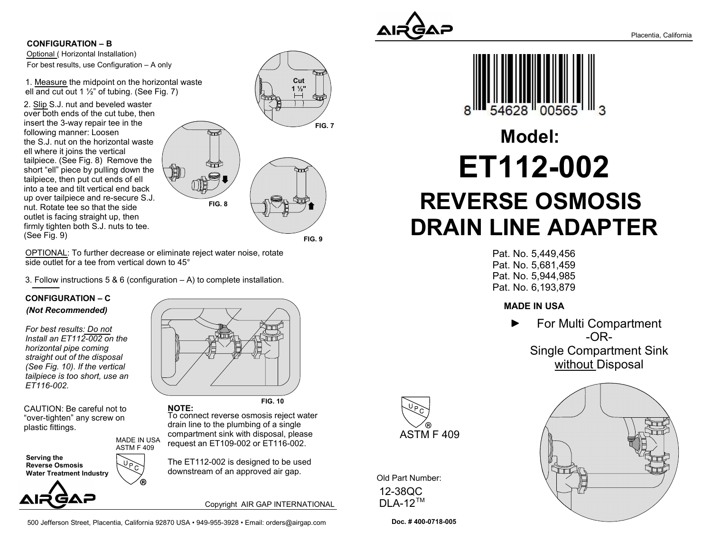

Optional ( Horizontal Installation) CONFIGURATION – B For best results, use Configuration – A only

1. Measure the midpoint on the horizontal waste ell and cut out 1  $\frac{1}{2}$ " of tubing. (See Fig. 7)

2. Slip S.J. nut and beveled waster over both ends of the cut tube, then insert the 3-way repair tee in the following manner: Loosen the S.J. nut on the horizontal waste ell where it joins the vertical tailpiece. (See Fig. 8) Remove the short "ell" piece by pulling down the tailpiece, then put cut ends of ell into a tee and tilt vertical end back up over tailpiece and re-secure S.J. nut. Rotate tee so that the side outlet is facing straight up, then firmly tighten both S.J. nuts to tee. (See Fig. 9)



FIG. 9

FIG. 7

OPTIONAL: To further decrease or eliminate reject water noise, rotate side outlet for a tee from vertical down to 45°

3. Follow instructions 5 & 6 (configuration  $- A$ ) to complete installation.

MADE IN USA

#### CONFIGURATION – C (Not Recommended)

For best results: Do not Install an ET112-002 on the horizontal pipe coming straight out of the disposal (See Fig. 10). If the vertical tailpiece is too short, use an ET116-002.

CAUTION: Be careful not to "over-tighten" any screw on plastic fittings.

Serving the Reverse Osmosis Water Treatment Industry ASTM F 409

AIR GAP

FIG. 10

To connect reverse osmosis reject water drain line to the plumbing of a single compartment sink with disposal, please request an ET109-002 or ET116-002. NOTE:

The ET112-002 is designed to be used downstream of an approved air gap.

Copyright AIR GAP INTERNATIONAL

500 Jefferson Street, Placentia, California 92870 USA • 949-955-3928 • Email: orders@airgap.com

54628

# ET112-002 REVERSE OSMOSIS DRAIN LINE ADAPTER Model:

Pat. No. 5,449,456 Pat. No. 5,681,459 Pat. No. 5,944,985 Pat. No. 6,193,879

### MADE IN USA

For Multi Compartment -OR-Single Compartment Sink without Disposal



Old Part Number: 12-38QC DLA-12™

Doc. # 400-0718-005